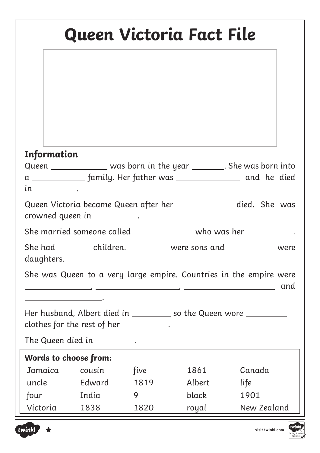| Queen Victoria Fact File                                           |       |      |        |                                                                                |  |  |
|--------------------------------------------------------------------|-------|------|--------|--------------------------------------------------------------------------------|--|--|
|                                                                    |       |      |        |                                                                                |  |  |
| Information                                                        |       |      |        |                                                                                |  |  |
|                                                                    |       |      |        | Queen ______________ was born in the year ________. She was born into          |  |  |
| in _____________                                                   |       |      |        | a ________________ family. Her father was ________________________ and he died |  |  |
| crowned queen in ___________.                                      |       |      |        | Queen Victoria became Queen after her ____________ died. She was               |  |  |
| She married someone called ______________ who was her ___________. |       |      |        |                                                                                |  |  |
| daughters.                                                         |       |      |        | She had __________ children. ____________ were sons and ______________ were    |  |  |
| <u> 1989 - Johann Barbara, martin amerikan per</u>                 |       |      |        | She was Queen to a very large empire. Countries in the empire were<br>and      |  |  |
| clothes for the rest of her ___________.                           |       |      |        | Her husband, Albert died in __________ so the Queen wore __________            |  |  |
| The Queen died in $\_\_\_\_\_\_\_\_\_\$ .                          |       |      |        |                                                                                |  |  |
| Words to choose from:                                              |       |      |        |                                                                                |  |  |
| Jamaica cousin                                                     |       | five | 1861   | Canada                                                                         |  |  |
| uncle Edward                                                       |       | 1819 | Albert | life                                                                           |  |  |
| four                                                               | India | 9    | black  | 1901                                                                           |  |  |
| Victoria                                                           | 1838  | 1820 | royal  | New Zealand                                                                    |  |  |



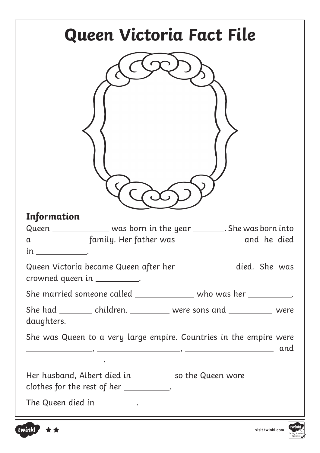| Queen Victoria Fact File                                                                                                                                                                                                                                                                                                |
|-------------------------------------------------------------------------------------------------------------------------------------------------------------------------------------------------------------------------------------------------------------------------------------------------------------------------|
|                                                                                                                                                                                                                                                                                                                         |
| <b>Information</b><br>Queen ______________ was born in the year ________. She was born into<br>a ______________ family. Her father was __________________ and he died<br>$\mathfrak{m}$                                                                                                                                 |
| Queen Victoria became Queen after her _____________ died. She was<br>crowned queen in ___________.                                                                                                                                                                                                                      |
| She married someone called ________________ who was her ___________.                                                                                                                                                                                                                                                    |
| She had __________ children. ___________ were sons and ____________ were<br>daughters.                                                                                                                                                                                                                                  |
| She was Queen to a very large empire. Countries in the empire were<br>and<br>$\overline{\phantom{a}}$ , and the contract of the contract of the contract of the contract of the contract of the contract of the contract of the contract of the contract of the contract of the contract of the contract of the contrac |
| Her husband, Albert died in ___________ so the Queen wore __________<br>clothes for the rest of her $\_\_\_\_\_\_\_\_\_\_\_\_\_\_\,.$                                                                                                                                                                                   |
| The Queen died in $\_\_\_\_\_\_\_\_\$ .                                                                                                                                                                                                                                                                                 |